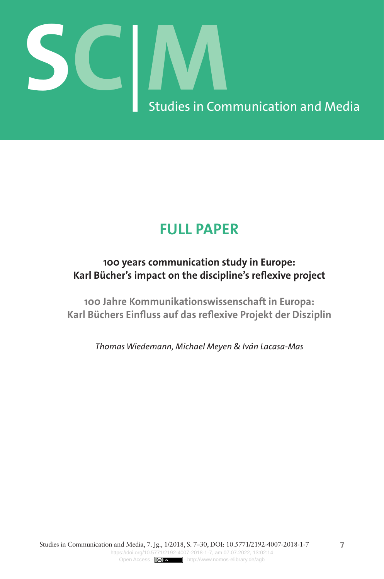# **SC**|**M** Studies in Communication and Media

# **FULL PAPER**

# **100 years communication study in Europe: Karl Bücher's impact on the discipline's reflexive project**

**100 Jahre Kommunikationswissenschaft in Europa: Karl Büchers Einfluss auf das reflexive Projekt der Disziplin**

*Thomas Wiedemann, Michael Meyen & Iván Lacasa-Mas*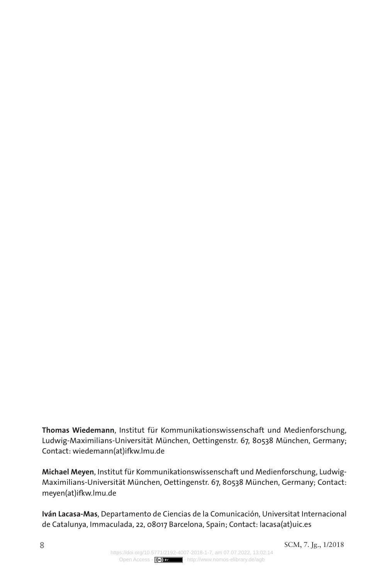**Thomas Wiedemann**, Institut für Kommunikationswissenschaft und Medienforschung, Ludwig-Maximilians-Universität München, Oettingenstr. 67, 80538 München, Germany; Contact: wiedemann(at)ifkw.lmu.de

**Michael Meyen**, Institut für Kommunikationswissenschaft und Medienforschung, Ludwig-Maximilians-Universität München, Oettingenstr. 67, 80538 München, Germany; Contact: meyen(at)ifkw.lmu.de

**Iván Lacasa-Mas**, Departamento de Ciencias de la Comunicación, Universitat Internacional de Catalunya, Immaculada, 22, 08017 Barcelona, Spain; Contact: lacasa(at)uic.es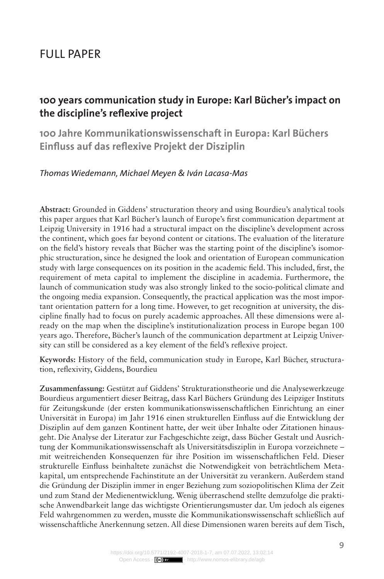## Full Paper

### **100 years communication study in Europe: Karl Bücher's impact on the discipline's reflexive project**

**100 Jahre Kommunikationswissenschaft in Europa: Karl Büchers Einfluss auf das reflexive Projekt der Disziplin**

#### *Thomas Wiedemann, Michael Meyen & Iván Lacasa-Mas*

**Abstract:** Grounded in Giddens' structuration theory and using Bourdieu's analytical tools this paper argues that Karl Bücher's launch of Europe's first communication department at Leipzig University in 1916 had a structural impact on the discipline's development across the continent, which goes far beyond content or citations. The evaluation of the literature on the field's history reveals that Bücher was the starting point of the discipline's isomorphic structuration, since he designed the look and orientation of European communication study with large consequences on its position in the academic field. This included, first, the requirement of meta capital to implement the discipline in academia. Furthermore, the launch of communication study was also strongly linked to the socio-political climate and the ongoing media expansion. Consequently, the practical application was the most important orientation pattern for a long time. However, to get recognition at university, the discipline finally had to focus on purely academic approaches. All these dimensions were already on the map when the discipline's institutionalization process in Europe began 100 years ago. Therefore, Bücher's launch of the communication department at Leipzig University can still be considered as a key element of the field's reflexive project.

**Keywords:** History of the field, communication study in Europe, Karl Bücher, structuration, reflexivity, Giddens, Bourdieu

**Zusammenfassung:** Gestützt auf Giddens' Strukturationstheorie und die Analysewerkzeuge Bourdieus argumentiert dieser Beitrag, dass Karl Büchers Gründung des Leipziger Instituts für Zeitungskunde (der ersten kommunikationswissenschaftlichen Einrichtung an einer Universität in Europa) im Jahr 1916 einen strukturellen Einfluss auf die Entwicklung der Disziplin auf dem ganzen Kontinent hatte, der weit über Inhalte oder Zitationen hinausgeht. Die Analyse der Literatur zur Fachgeschichte zeigt, dass Bücher Gestalt und Ausrichtung der Kommunikationswissenschaft als Universitätsdisziplin in Europa vorzeichnete – mit weitreichenden Konsequenzen für ihre Position im wissenschaftlichen Feld. Dieser strukturelle Einfluss beinhaltete zunächst die Notwendigkeit von beträchtlichem Metakapital, um entsprechende Fachinstitute an der Universität zu verankern. Außerdem stand die Gründung der Disziplin immer in enger Beziehung zum soziopolitischen Klima der Zeit und zum Stand der Medienentwicklung. Wenig überraschend stellte demzufolge die praktische Anwendbarkeit lange das wichtigste Orientierungsmuster dar. Um jedoch als eigenes Feld wahrgenommen zu werden, musste die Kommunikationswissenschaft schließlich auf wissenschaftliche Anerkennung setzen. All diese Dimensionen waren bereits auf dem Tisch,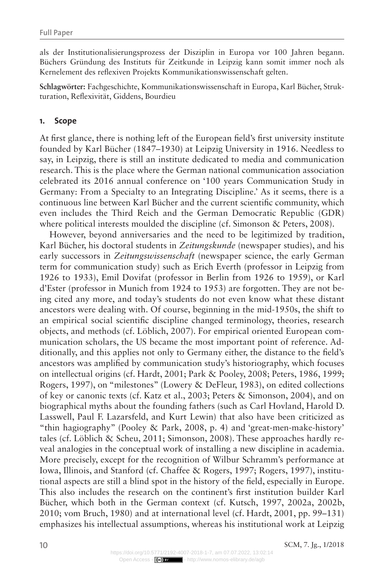als der Institutionalisierungsprozess der Disziplin in Europa vor 100 Jahren begann. Büchers Gründung des Instituts für Zeitkunde in Leipzig kann somit immer noch als Kernelement des reflexiven Projekts Kommunikationswissenschaft gelten.

**Schlagwörter:** Fachgeschichte, Kommunikationswissenschaft in Europa, Karl Bücher, Strukturation, Reflexivität, Giddens, Bourdieu

#### **1. Scope**

At first glance, there is nothing left of the European field's first university institute founded by Karl Bücher (1847–1930) at Leipzig University in 1916. Needless to say, in Leipzig, there is still an institute dedicated to media and communication research. This is the place where the German national communication association celebrated its 2016 annual conference on '100 years Communication Study in Germany: From a Specialty to an Integrating Discipline.' As it seems, there is a continuous line between Karl Bücher and the current scientific community, which even includes the Third Reich and the German Democratic Republic (GDR) where political interests moulded the discipline (cf. Simonson & Peters, 2008).

However, beyond anniversaries and the need to be legitimized by tradition, Karl Bücher, his doctoral students in *Zeitungskunde* (newspaper studies), and his early successors in *Zeitungswissenschaft* (newspaper science, the early German term for communication study) such as Erich Everth (professor in Leipzig from 1926 to 1933), Emil Dovifat (professor in Berlin from 1926 to 1959), or Karl d'Ester (professor in Munich from 1924 to 1953) are forgotten. They are not being cited any more, and today's students do not even know what these distant ancestors were dealing with. Of course, beginning in the mid-1950s, the shift to an empirical social scientific discipline changed terminology, theories, research objects, and methods (cf. Löblich, 2007). For empirical oriented European communication scholars, the US became the most important point of reference. Additionally, and this applies not only to Germany either, the distance to the field's ancestors was amplified by communication study's historiography, which focuses on intellectual origins (cf. Hardt, 2001; Park & Pooley, 2008; Peters, 1986, 1999; Rogers, 1997), on "milestones" (Lowery & DeFleur, 1983), on edited collections of key or canonic texts (cf. Katz et al., 2003; Peters & Simonson, 2004), and on biographical myths about the founding fathers (such as Carl Hovland, Harold D. Lasswell, Paul F. Lazarsfeld, and Kurt Lewin) that also have been criticized as "thin hagiography" (Pooley & Park, 2008, p. 4) and 'great-men-make-history' tales (cf. Löblich & Scheu, 2011; Simonson, 2008). These approaches hardly reveal analogies in the conceptual work of installing a new discipline in academia. More precisely, except for the recognition of Wilbur Schramm's performance at Iowa, Illinois, and Stanford (cf. Chaffee & Rogers, 1997; Rogers, 1997), institutional aspects are still a blind spot in the history of the field, especially in Europe. This also includes the research on the continent's first institution builder Karl Bücher, which both in the German context (cf. Kutsch, 1997, 2002a, 2002b, 2010; vom Bruch, 1980) and at international level (cf. Hardt, 2001, pp. 99–131) emphasizes his intellectual assumptions, whereas his institutional work at Leipzig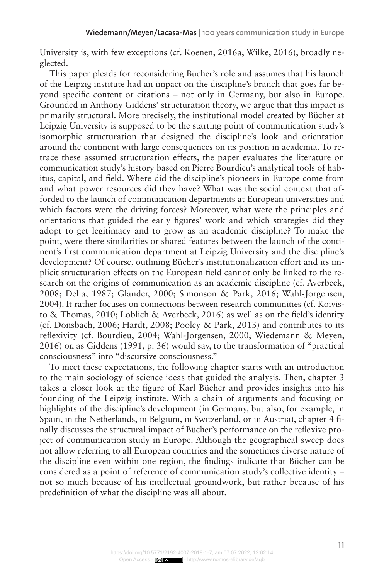University is, with few exceptions (cf. Koenen, 2016a; Wilke, 2016), broadly neglected.

This paper pleads for reconsidering Bücher's role and assumes that his launch of the Leipzig institute had an impact on the discipline's branch that goes far beyond specific content or citations – not only in Germany, but also in Europe. Grounded in Anthony Giddens' structuration theory, we argue that this impact is primarily structural. More precisely, the institutional model created by Bücher at Leipzig University is supposed to be the starting point of communication study's isomorphic structuration that designed the discipline's look and orientation around the continent with large consequences on its position in academia. To retrace these assumed structuration effects, the paper evaluates the literature on communication study's history based on Pierre Bourdieu's analytical tools of habitus, capital, and field. Where did the discipline's pioneers in Europe come from and what power resources did they have? What was the social context that afforded to the launch of communication departments at European universities and which factors were the driving forces? Moreover, what were the principles and orientations that guided the early figures' work and which strategies did they adopt to get legitimacy and to grow as an academic discipline? To make the point, were there similarities or shared features between the launch of the continent's first communication department at Leipzig University and the discipline's development? Of course, outlining Bücher's institutionalization effort and its implicit structuration effects on the European field cannot only be linked to the research on the origins of communication as an academic discipline (cf. Averbeck, 2008; Delia, 1987; Glander, 2000; Simonson & Park, 2016; Wahl-Jorgensen, 2004). It rather focuses on connections between research communities (cf. Koivisto & Thomas, 2010; Löblich & Averbeck, 2016) as well as on the field's identity (cf. Donsbach, 2006; Hardt, 2008; Pooley & Park, 2013) and contributes to its reflexivity (cf. Bourdieu, 2004; Wahl-Jorgensen, 2000; Wiedemann & Meyen, 2016) or, as Giddens (1991, p. 36) would say, to the transformation of "practical consciousness" into "discursive consciousness."

To meet these expectations, the following chapter starts with an introduction to the main sociology of science ideas that guided the analysis. Then, chapter 3 takes a closer look at the figure of Karl Bücher and provides insights into his founding of the Leipzig institute. With a chain of arguments and focusing on highlights of the discipline's development (in Germany, but also, for example, in Spain, in the Netherlands, in Belgium, in Switzerland, or in Austria), chapter 4 finally discusses the structural impact of Bücher's performance on the reflexive project of communication study in Europe. Although the geographical sweep does not allow referring to all European countries and the sometimes diverse nature of the discipline even within one region, the findings indicate that Bücher can be considered as a point of reference of communication study's collective identity – not so much because of his intellectual groundwork, but rather because of his predefinition of what the discipline was all about.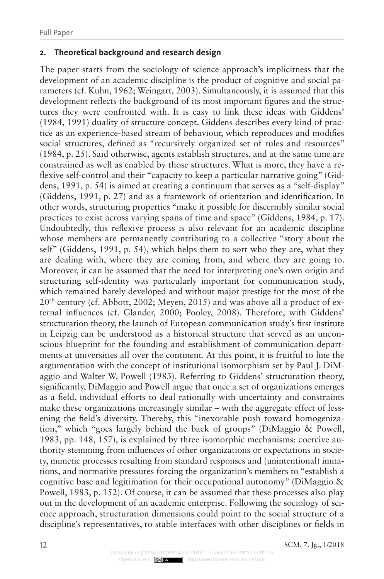#### **2. Theoretical background and research design**

The paper starts from the sociology of science approach's implicitness that the development of an academic discipline is the product of cognitive and social parameters (cf. Kuhn, 1962; Weingart, 2003). Simultaneously, it is assumed that this development reflects the background of its most important figures and the structures they were confronted with. It is easy to link these ideas with Giddens' (1984, 1991) duality of structure concept. Giddens describes every kind of practice as an experience-based stream of behaviour, which reproduces and modifies social structures, defined as "recursively organized set of rules and resources" (1984, p. 25). Said otherwise, agents establish structures, and at the same time are constrained as well as enabled by those structures. What is more, they have a reflexive self-control and their "capacity to keep a particular narrative going" (Giddens, 1991, p. 54) is aimed at creating a continuum that serves as a "self-display" (Giddens, 1991, p. 27) and as a framework of orientation and identification. In other words, structuring properties "make it possible for discernibly similar social practices to exist across varying spans of time and space" (Giddens, 1984, p. 17). Undoubtedly, this reflexive process is also relevant for an academic discipline whose members are permanently contributing to a collective "story about the self" (Giddens, 1991, p. 54), which helps them to sort who they are, what they are dealing with, where they are coming from, and where they are going to. Moreover, it can be assumed that the need for interpreting one's own origin and structuring self-identity was particularly important for communication study, which remained barely developed and without major prestige for the most of the  $20<sup>th</sup>$  century (cf. Abbott, 2002; Meyen, 2015) and was above all a product of external influences (cf. Glander, 2000; Pooley, 2008). Therefore, with Giddens' structuration theory, the launch of European communication study's first institute in Leipzig can be understood as a historical structure that served as an unconscious blueprint for the founding and establishment of communication departments at universities all over the continent. At this point, it is fruitful to line the argumentation with the concept of institutional isomorphism set by Paul J. DiMaggio and Walter W. Powell (1983). Referring to Giddens' structuration theory, significantly, DiMaggio and Powell argue that once a set of organizations emerges as a field, individual efforts to deal rationally with uncertainty and constraints make these organizations increasingly similar – with the aggregate effect of lessening the field's diversity. Thereby, this "inexorable push toward homogenization," which "goes largely behind the back of groups" (DiMaggio & Powell, 1983, pp. 148, 157), is explained by three isomorphic mechanisms: coercive authority stemming from influences of other organizations or expectations in society, mimetic processes resulting from standard responses and (unintentional) imitations, and normative pressures forcing the organization's members to "establish a cognitive base and legitimation for their occupational autonomy" (DiMaggio & Powell, 1983, p. 152). Of course, it can be assumed that these processes also play out in the development of an academic enterprise. Following the sociology of science approach, structuration dimensions could point to the social structure of a discipline's representatives, to stable interfaces with other disciplines or fields in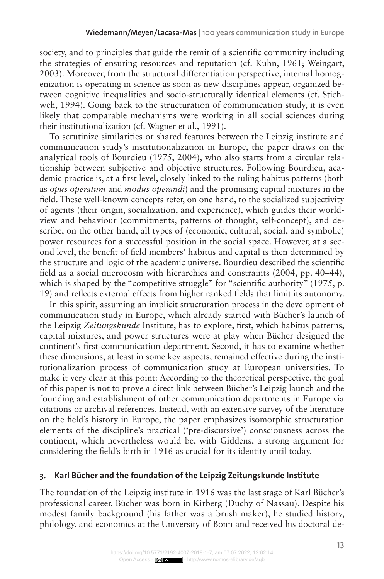society, and to principles that guide the remit of a scientific community including the strategies of ensuring resources and reputation (cf. Kuhn, 1961; Weingart, 2003). Moreover, from the structural differentiation perspective, internal homogenization is operating in science as soon as new disciplines appear, organized between cognitive inequalities and socio-structurally identical elements (cf. Stichweh, 1994). Going back to the structuration of communication study, it is even likely that comparable mechanisms were working in all social sciences during their institutionalization (cf. Wagner et al., 1991).

To scrutinize similarities or shared features between the Leipzig institute and communication study's institutionalization in Europe, the paper draws on the analytical tools of Bourdieu (1975, 2004), who also starts from a circular relationship between subjective and objective structures. Following Bourdieu, academic practice is, at a first level, closely linked to the ruling habitus patterns (both as *opus operatum* and *modus operandi*) and the promising capital mixtures in the field. These well-known concepts refer, on one hand, to the socialized subjectivity of agents (their origin, socialization, and experience), which guides their worldview and behaviour (commitments, patterns of thought, self-concept), and describe, on the other hand, all types of (economic, cultural, social, and symbolic) power resources for a successful position in the social space. However, at a second level, the benefit of field members' habitus and capital is then determined by the structure and logic of the academic universe. Bourdieu described the scientific field as a social microcosm with hierarchies and constraints (2004, pp. 40–44), which is shaped by the "competitive struggle" for "scientific authority" (1975, p. 19) and reflects external effects from higher ranked fields that limit its autonomy.

In this spirit, assuming an implicit structuration process in the development of communication study in Europe, which already started with Bücher's launch of the Leipzig *Zeitungskunde* Institute, has to explore, first, which habitus patterns, capital mixtures, and power structures were at play when Bücher designed the continent's first communication department. Second, it has to examine whether these dimensions, at least in some key aspects, remained effective during the institutionalization process of communication study at European universities. To make it very clear at this point: According to the theoretical perspective, the goal of this paper is not to prove a direct link between Bücher's Leipzig launch and the founding and establishment of other communication departments in Europe via citations or archival references. Instead, with an extensive survey of the literature on the field's history in Europe, the paper emphasizes isomorphic structuration elements of the discipline's practical ('pre-discursive') consciousness across the continent, which nevertheless would be, with Giddens, a strong argument for considering the field's birth in 1916 as crucial for its identity until today.

#### **3. Karl Bücher and the foundation of the Leipzig Zeitungskunde Institute**

The foundation of the Leipzig institute in 1916 was the last stage of Karl Bücher's professional career. Bücher was born in Kirberg (Duchy of Nassau). Despite his modest family background (his father was a brush maker), he studied history, philology, and economics at the University of Bonn and received his doctoral de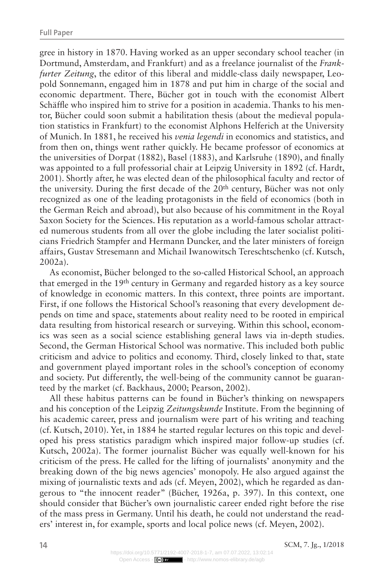gree in history in 1870. Having worked as an upper secondary school teacher (in Dortmund, Amsterdam, and Frankfurt) and as a freelance journalist of the *Frankfurter Zeitung*, the editor of this liberal and middle-class daily newspaper, Leopold Sonnemann, engaged him in 1878 and put him in charge of the social and economic department. There, Bücher got in touch with the economist Albert Schäffle who inspired him to strive for a position in academia. Thanks to his mentor, Bücher could soon submit a habilitation thesis (about the medieval population statistics in Frankfurt) to the economist Alphons Helferich at the University of Munich. In 1881, he received his *venia legendi* in economics and statistics, and from then on, things went rather quickly. He became professor of economics at the universities of Dorpat (1882), Basel (1883), and Karlsruhe (1890), and finally was appointed to a full professorial chair at Leipzig University in 1892 (cf. Hardt, 2001). Shortly after, he was elected dean of the philosophical faculty and rector of the university. During the first decade of the  $20<sup>th</sup>$  century, Bücher was not only recognized as one of the leading protagonists in the field of economics (both in the German Reich and abroad), but also because of his commitment in the Royal Saxon Society for the Sciences. His reputation as a world-famous scholar attracted numerous students from all over the globe including the later socialist politicians Friedrich Stampfer and Hermann Duncker, and the later ministers of foreign affairs, Gustav Stresemann and Michail Iwanowitsch Tereschtschenko (cf. Kutsch, 2002a).

As economist, Bücher belonged to the so-called Historical School, an approach that emerged in the 19th century in Germany and regarded history as a key source of knowledge in economic matters. In this context, three points are important. First, if one follows the Historical School's reasoning that every development depends on time and space, statements about reality need to be rooted in empirical data resulting from historical research or surveying. Within this school, economics was seen as a social science establishing general laws via in-depth studies. Second, the German Historical School was normative. This included both public criticism and advice to politics and economy. Third, closely linked to that, state and government played important roles in the school's conception of economy and society. Put differently, the well-being of the community cannot be guaranteed by the market (cf. Backhaus, 2000; Pearson, 2002).

All these habitus patterns can be found in Bücher's thinking on newspapers and his conception of the Leipzig *Zeitungskunde* Institute. From the beginning of his academic career, press and journalism were part of his writing and teaching (cf. Kutsch, 2010). Yet, in 1884 he started regular lectures on this topic and developed his press statistics paradigm which inspired major follow-up studies (cf. Kutsch, 2002a). The former journalist Bücher was equally well-known for his criticism of the press. He called for the lifting of journalists' anonymity and the breaking down of the big news agencies' monopoly. He also argued against the mixing of journalistic texts and ads (cf. Meyen, 2002), which he regarded as dangerous to "the innocent reader" (Bücher, 1926a, p. 397). In this context, one should consider that Bücher's own journalistic career ended right before the rise of the mass press in Germany. Until his death, he could not understand the readers' interest in, for example, sports and local police news (cf. Meyen, 2002).

**14** SCM, 7. Jg., 1/2018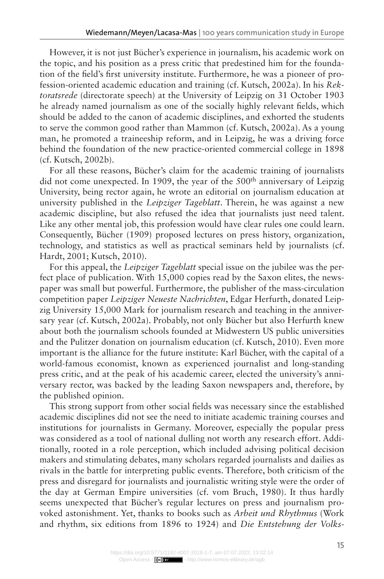However, it is not just Bücher's experience in journalism, his academic work on the topic, and his position as a press critic that predestined him for the foundation of the field's first university institute. Furthermore, he was a pioneer of profession-oriented academic education and training (cf. Kutsch, 2002a). In his *Rektoratsrede* (directorate speech) at the University of Leipzig on 31 October 1903 he already named journalism as one of the socially highly relevant fields, which should be added to the canon of academic disciplines, and exhorted the students to serve the common good rather than Mammon (cf. Kutsch, 2002a). As a young man, he promoted a traineeship reform, and in Leipzig, he was a driving force behind the foundation of the new practice-oriented commercial college in 1898 (cf. Kutsch, 2002b).

For all these reasons, Bücher's claim for the academic training of journalists did not come unexpected. In 1909, the year of the 500<sup>th</sup> anniversary of Leipzig University, being rector again, he wrote an editorial on journalism education at university published in the *Leipziger Tageblatt*. Therein, he was against a new academic discipline, but also refused the idea that journalists just need talent. Like any other mental job, this profession would have clear rules one could learn. Consequently, Bücher (1909) proposed lectures on press history, organization, technology, and statistics as well as practical seminars held by journalists (cf. Hardt, 2001; Kutsch, 2010).

For this appeal, the *Leipziger Tageblatt* special issue on the jubilee was the perfect place of publication. With 15,000 copies read by the Saxon elites, the newspaper was small but powerful. Furthermore, the publisher of the mass-circulation competition paper *Leipziger Neueste Nachrichten*, Edgar Herfurth, donated Leipzig University 15,000 Mark for journalism research and teaching in the anniversary year (cf. Kutsch, 2002a). Probably, not only Bücher but also Herfurth knew about both the journalism schools founded at Midwestern US public universities and the Pulitzer donation on journalism education (cf. Kutsch, 2010). Even more important is the alliance for the future institute: Karl Bücher, with the capital of a world-famous economist, known as experienced journalist and long-standing press critic, and at the peak of his academic career, elected the university's anniversary rector, was backed by the leading Saxon newspapers and, therefore, by the published opinion.

This strong support from other social fields was necessary since the established academic disciplines did not see the need to initiate academic training courses and institutions for journalists in Germany. Moreover, especially the popular press was considered as a tool of national dulling not worth any research effort. Additionally, rooted in a role perception, which included advising political decision makers and stimulating debates, many scholars regarded journalists and dailies as rivals in the battle for interpreting public events. Therefore, both criticism of the press and disregard for journalists and journalistic writing style were the order of the day at German Empire universities (cf. vom Bruch, 1980). It thus hardly seems unexpected that Bücher's regular lectures on press and journalism provoked astonishment. Yet, thanks to books such as *Arbeit und Rhythmus* (Work and rhythm, six editions from 1896 to 1924) and *Die Entstehung der Volks-*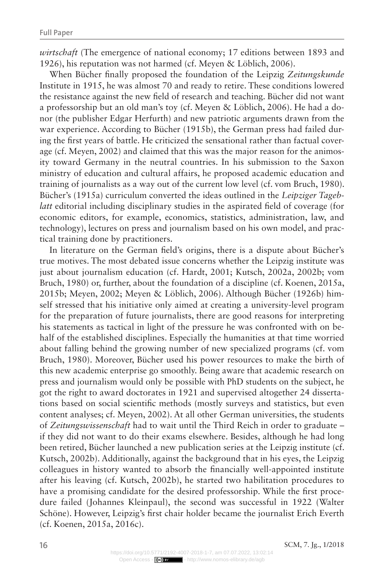*wirtschaft* (The emergence of national economy; 17 editions between 1893 and 1926), his reputation was not harmed (cf. Meyen & Löblich, 2006).

When Bücher finally proposed the foundation of the Leipzig *Zeitungskunde* Institute in 1915, he was almost 70 and ready to retire. These conditions lowered the resistance against the new field of research and teaching. Bücher did not want a professorship but an old man's toy (cf. Meyen & Löblich, 2006). He had a donor (the publisher Edgar Herfurth) and new patriotic arguments drawn from the war experience. According to Bücher (1915b), the German press had failed during the first years of battle. He criticized the sensational rather than factual coverage (cf. Meyen, 2002) and claimed that this was the major reason for the animosity toward Germany in the neutral countries. In his submission to the Saxon ministry of education and cultural affairs, he proposed academic education and training of journalists as a way out of the current low level (cf. vom Bruch, 1980). Bücher's (1915a) curriculum converted the ideas outlined in the *Leipziger Tageblatt* editorial including disciplinary studies in the aspirated field of coverage (for economic editors, for example, economics, statistics, administration, law, and technology), lectures on press and journalism based on his own model, and practical training done by practitioners.

In literature on the German field's origins, there is a dispute about Bücher's true motives. The most debated issue concerns whether the Leipzig institute was just about journalism education (cf. Hardt, 2001; Kutsch, 2002a, 2002b; vom Bruch, 1980) or, further, about the foundation of a discipline (cf. Koenen, 2015a, 2015b; Meyen, 2002; Meyen & Löblich, 2006). Although Bücher (1926b) himself stressed that his initiative only aimed at creating a university-level program for the preparation of future journalists, there are good reasons for interpreting his statements as tactical in light of the pressure he was confronted with on behalf of the established disciplines. Especially the humanities at that time worried about falling behind the growing number of new specialized programs (cf. vom Bruch, 1980). Moreover, Bücher used his power resources to make the birth of this new academic enterprise go smoothly. Being aware that academic research on press and journalism would only be possible with PhD students on the subject, he got the right to award doctorates in 1921 and supervised altogether 24 dissertations based on social scientific methods (mostly surveys and statistics, but even content analyses; cf. Meyen, 2002). At all other German universities, the students of *Zeitungswissenschaft* had to wait until the Third Reich in order to graduate – if they did not want to do their exams elsewhere. Besides, although he had long been retired, Bücher launched a new publication series at the Leipzig institute (cf. Kutsch, 2002b). Additionally, against the background that in his eyes, the Leipzig colleagues in history wanted to absorb the financially well-appointed institute after his leaving (cf. Kutsch, 2002b), he started two habilitation procedures to have a promising candidate for the desired professorship. While the first procedure failed (Johannes Kleinpaul), the second was successful in 1922 (Walter Schöne). However, Leipzig's first chair holder became the journalist Erich Everth (cf. Koenen, 2015a, 2016c).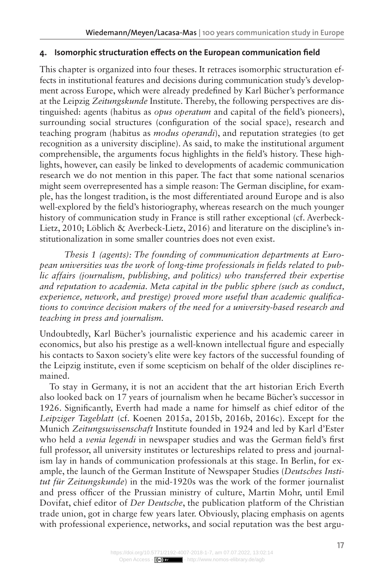#### **4. Isomorphic structuration effects on the European communication field**

This chapter is organized into four theses. It retraces isomorphic structuration effects in institutional features and decisions during communication study's development across Europe, which were already predefined by Karl Bücher's performance at the Leipzig *Zeitungskunde* Institute. Thereby, the following perspectives are distinguished: agents (habitus as *opus operatum* and capital of the field's pioneers), surrounding social structures (configuration of the social space), research and teaching program (habitus as *modus operandi*), and reputation strategies (to get recognition as a university discipline). As said, to make the institutional argument comprehensible, the arguments focus highlights in the field's history. These highlights, however, can easily be linked to developments of academic communication research we do not mention in this paper. The fact that some national scenarios might seem overrepresented has a simple reason: The German discipline, for example, has the longest tradition, is the most differentiated around Europe and is also well-explored by the field's historiography, whereas research on the much younger history of communication study in France is still rather exceptional (cf. Averbeck-Lietz, 2010; Löblich & Averbeck-Lietz, 2016) and literature on the discipline's institutionalization in some smaller countries does not even exist.

*Thesis 1 (agents): The founding of communication departments at European universities was the work of long-time professionals in fields related to public affairs (journalism, publishing, and politics) who transferred their expertise and reputation to academia. Meta capital in the public sphere (such as conduct, experience, network, and prestige) proved more useful than academic qualifications to convince decision makers of the need for a university-based research and teaching in press and journalism.*

Undoubtedly, Karl Bücher's journalistic experience and his academic career in economics, but also his prestige as a well-known intellectual figure and especially his contacts to Saxon society's elite were key factors of the successful founding of the Leipzig institute, even if some scepticism on behalf of the older disciplines remained.

To stay in Germany, it is not an accident that the art historian Erich Everth also looked back on 17 years of journalism when he became Bücher's successor in 1926. Significantly, Everth had made a name for himself as chief editor of the *Leipziger Tageblatt* (cf. Koenen 2015a, 2015b, 2016b, 2016c). Except for the Munich *Zeitungswissenschaft* Institute founded in 1924 and led by Karl d'Ester who held a *venia legendi* in newspaper studies and was the German field's first full professor, all university institutes or lectureships related to press and journalism lay in hands of communication professionals at this stage. In Berlin, for example, the launch of the German Institute of Newspaper Studies (*Deutsches Institut für Zeitungskunde*) in the mid-1920s was the work of the former journalist and press officer of the Prussian ministry of culture, Martin Mohr, until Emil Dovifat, chief editor of *Der Deutsche*, the publication platform of the Christian trade union, got in charge few years later. Obviously, placing emphasis on agents with professional experience, networks, and social reputation was the best argu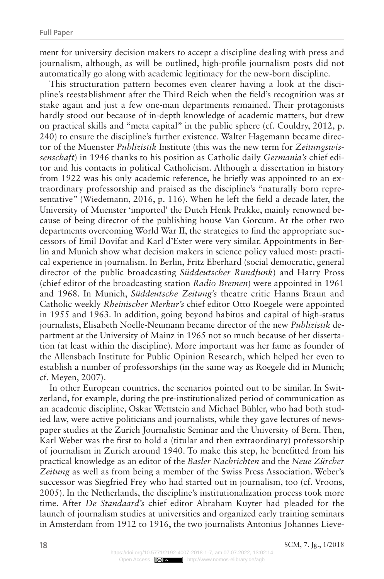ment for university decision makers to accept a discipline dealing with press and journalism, although, as will be outlined, high-profile journalism posts did not automatically go along with academic legitimacy for the new-born discipline.

This structuration pattern becomes even clearer having a look at the discipline's reestablishment after the Third Reich when the field's recognition was at stake again and just a few one-man departments remained. Their protagonists hardly stood out because of in-depth knowledge of academic matters, but drew on practical skills and "meta capital" in the public sphere (cf. Couldry, 2012, p. 240) to ensure the discipline's further existence. Walter Hagemann became director of the Muenster *Publizistik* Institute (this was the new term for *Zeitungswissenschaft*) in 1946 thanks to his position as Catholic daily *Germania's* chief editor and his contacts in political Catholicism. Although a dissertation in history from 1922 was his only academic reference, he briefly was appointed to an extraordinary professorship and praised as the discipline's "naturally born representative" (Wiedemann, 2016, p. 116). When he left the field a decade later, the University of Muenster 'imported' the Dutch Henk Prakke, mainly renowned because of being director of the publishing house Van Gorcum. At the other two departments overcoming World War II, the strategies to find the appropriate successors of Emil Dovifat and Karl d'Ester were very similar. Appointments in Berlin and Munich show what decision makers in science policy valued most: practical experience in journalism. In Berlin, Fritz Eberhard (social democratic, general director of the public broadcasting *Süddeutscher Rundfunk*) and Harry Pross (chief editor of the broadcasting station *Radio Bremen*) were appointed in 1961 and 1968. In Munich, *Süddeutsche Zeitung's* theatre critic Hanns Braun and Catholic weekly *Rheinischer Merkur's* chief editor Otto Roegele were appointed in 1955 and 1963. In addition, going beyond habitus and capital of high-status journalists, Elisabeth Noelle-Neumann became director of the new *Publizistik* department at the University of Mainz in 1965 not so much because of her dissertation (at least within the discipline). More important was her fame as founder of the Allensbach Institute for Public Opinion Research, which helped her even to establish a number of professorships (in the same way as Roegele did in Munich; cf. Meyen, 2007).

In other European countries, the scenarios pointed out to be similar. In Switzerland, for example, during the pre-institutionalized period of communication as an academic discipline, Oskar Wettstein and Michael Bühler, who had both studied law, were active politicians and journalists, while they gave lectures of newspaper studies at the Zurich Journalistic Seminar and the University of Bern. Then, Karl Weber was the first to hold a (titular and then extraordinary) professorship of journalism in Zurich around 1940. To make this step, he benefitted from his practical knowledge as an editor of the *Basler Nachrichten* and the *Neue Zürcher Zeitung* as well as from being a member of the Swiss Press Association. Weber's successor was Siegfried Frey who had started out in journalism, too (cf. Vroons, 2005). In the Netherlands, the discipline's institutionalization process took more time. After *De Standaard's* chief editor Abraham Kuyter had pleaded for the launch of journalism studies at universities and organized early training seminars in Amsterdam from 1912 to 1916, the two journalists Antonius Johannes Lieve-

**18** SCM, 7. Jg., 1/2018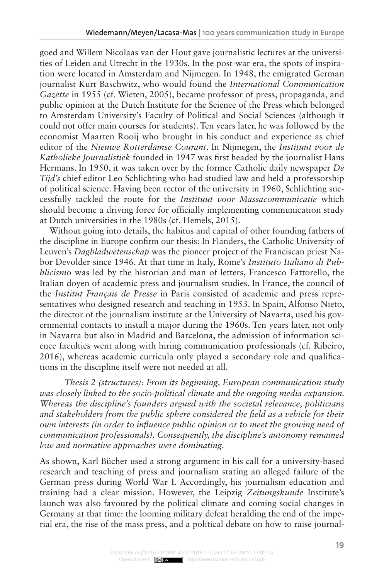goed and Willem Nicolaas van der Hout gave journalistic lectures at the universities of Leiden and Utrecht in the 1930s. In the post-war era, the spots of inspiration were located in Amsterdam and Nijmegen. In 1948, the emigrated German journalist Kurt Baschwitz, who would found the *International Communication Gazette* in 1955 (cf. Wieten, 2005), became professor of press, propaganda, and public opinion at the Dutch Institute for the Science of the Press which belonged to Amsterdam University's Faculty of Political and Social Sciences (although it could not offer main courses for students). Ten years later, he was followed by the economist Maarten Rooij who brought in his conduct and experience as chief editor of the *Nieuwe Rotterdamse Courant*. In Nijmegen, the *Instituut voor de Katholieke Journalistiek* founded in 1947 was first headed by the journalist Hans Hermans. In 1950, it was taken over by the former Catholic daily newspaper *De Tijd's* chief editor Leo Schlichting who had studied law and held a professorship of political science. Having been rector of the university in 1960, Schlichting successfully tackled the route for the *Instituut voor Massacommunicatie* which should become a driving force for officially implementing communication study at Dutch universities in the 1980s (cf. Hemels, 2015).

Without going into details, the habitus and capital of other founding fathers of the discipline in Europe confirm our thesis: In Flanders, the Catholic University of Leuven's *Dagbladwetenschap* was the pioneer project of the Franciscan priest Nabor Devolder since 1946. At that time in Italy, Rome's *Instituto Italiano di Pubblicismo* was led by the historian and man of letters, Francesco Fattorello, the Italian doyen of academic press and journalism studies. In France, the council of the *Institut Français de Presse* in Paris consisted of academic and press representatives who designed research and teaching in 1953. In Spain, Alfonso Nieto, the director of the journalism institute at the University of Navarra, used his governmental contacts to install a major during the 1960s. Ten years later, not only in Navarra but also in Madrid and Barcelona, the admission of information science faculties went along with hiring communication professionals (cf. Ribeiro, 2016), whereas academic curricula only played a secondary role and qualifications in the discipline itself were not needed at all.

*Thesis 2 (structures): From its beginning, European communication study was closely linked to the socio-political climate and the ongoing media expansion. Whereas the discipline's founders argued with the societal relevance, politicians and stakeholders from the public sphere considered the field as a vehicle for their own interests (in order to influence public opinion or to meet the growing need of communication professionals). Consequently, the discipline's autonomy remained low and normative approaches were dominating.*

As shown, Karl Bücher used a strong argument in his call for a university-based research and teaching of press and journalism stating an alleged failure of the German press during World War I. Accordingly, his journalism education and training had a clear mission. However, the Leipzig *Zeitungskunde* Institute's launch was also favoured by the political climate and coming social changes in Germany at that time: the looming military defeat heralding the end of the imperial era, the rise of the mass press, and a political debate on how to raise journal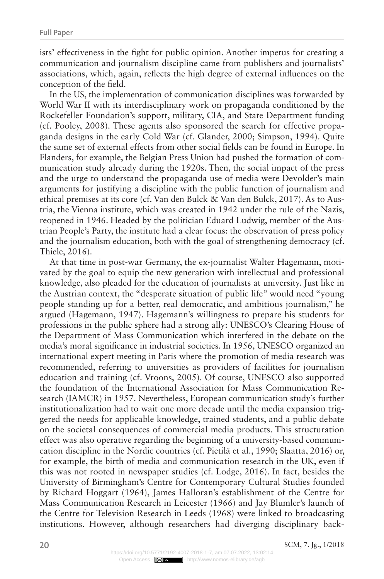ists' effectiveness in the fight for public opinion. Another impetus for creating a communication and journalism discipline came from publishers and journalists' associations, which, again, reflects the high degree of external influences on the conception of the field.

In the US, the implementation of communication disciplines was forwarded by World War II with its interdisciplinary work on propaganda conditioned by the Rockefeller Foundation's support, military, CIA, and State Department funding (cf. Pooley, 2008). These agents also sponsored the search for effective propaganda designs in the early Cold War (cf. Glander, 2000; Simpson, 1994). Quite the same set of external effects from other social fields can be found in Europe. In Flanders, for example, the Belgian Press Union had pushed the formation of communication study already during the 1920s. Then, the social impact of the press and the urge to understand the propaganda use of media were Devolder's main arguments for justifying a discipline with the public function of journalism and ethical premises at its core (cf. Van den Bulck & Van den Bulck, 2017). As to Austria, the Vienna institute, which was created in 1942 under the rule of the Nazis, reopened in 1946. Headed by the politician Eduard Ludwig, member of the Austrian People's Party, the institute had a clear focus: the observation of press policy and the journalism education, both with the goal of strengthening democracy (cf. Thiele, 2016).

At that time in post-war Germany, the ex-journalist Walter Hagemann, motivated by the goal to equip the new generation with intellectual and professional knowledge, also pleaded for the education of journalists at university. Just like in the Austrian context, the "desperate situation of public life" would need "young people standing up for a better, real democratic, and ambitious journalism," he argued (Hagemann, 1947). Hagemann's willingness to prepare his students for professions in the public sphere had a strong ally: UNESCO's Clearing House of the Department of Mass Communication which interfered in the debate on the media's moral significance in industrial societies. In 1956, UNESCO organized an international expert meeting in Paris where the promotion of media research was recommended, referring to universities as providers of facilities for journalism education and training (cf. Vroons, 2005). Of course, UNESCO also supported the foundation of the International Association for Mass Communication Research (IAMCR) in 1957. Nevertheless, European communication study's further institutionalization had to wait one more decade until the media expansion triggered the needs for applicable knowledge, trained students, and a public debate on the societal consequences of commercial media products. This structuration effect was also operative regarding the beginning of a university-based communication discipline in the Nordic countries (cf. Pietilä et al., 1990; Slaatta, 2016) or, for example, the birth of media and communication research in the UK, even if this was not rooted in newspaper studies (cf. Lodge, 2016). In fact, besides the University of Birmingham's Centre for Contemporary Cultural Studies founded by Richard Hoggart (1964), James Halloran's establishment of the Centre for Mass Communication Research in Leicester (1966) and Jay Blumler's launch of the Centre for Television Research in Leeds (1968) were linked to broadcasting institutions. However, although researchers had diverging disciplinary back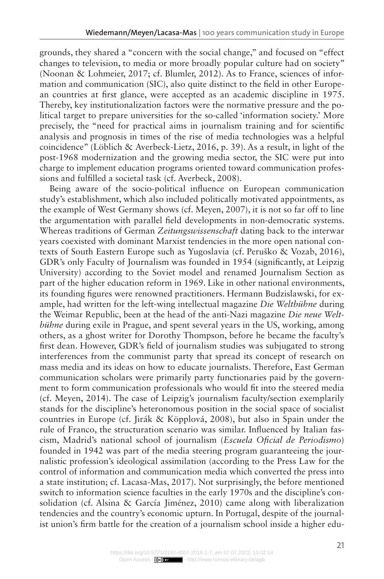grounds, they shared a "concern with the social change," and focused on "effect changes to television, to media or more broadly popular culture had on society" (Noonan & Lohmeier, 2017; cf. Blumler, 2012). As to France, sciences of information and communication (SIC), also quite distinct to the field in other European countries at first glance, were accepted as an academic discipline in 1975. Thereby, key institutionalization factors were the normative pressure and the political target to prepare universities for the so-called 'information society.' More precisely, the "need for practical aims in journalism training and for scientific analysis and prognosis in times of the rise of media technologies was a helpful coincidence" (Löblich & Averbeck-Lietz, 2016, p. 39). As a result, in light of the post-1968 modernization and the growing media sector, the SIC were put into charge to implement education programs oriented toward communication professions and fulfilled a societal task (cf. Averbeck, 2008).

Being aware of the socio-political influence on European communication study's establishment, which also included politically motivated appointments, as the example of West Germany shows (cf. Meyen, 2007), it is not so far off to line the argumentation with parallel field developments in non-democratic systems. Whereas traditions of German *Zeitungswissenschaft* dating back to the interwar years coexisted with dominant Marxist tendencies in the more open national contexts of South Eastern Europe such as Yugoslavia (cf. Peruško & Vozab, 2016), GDR's only Faculty of Journalism was founded in 1954 (significantly, at Leipzig University) according to the Soviet model and renamed Journalism Section as part of the higher education reform in 1969. Like in other national environments, its founding figures were renowned practitioners. Hermann Budzislawski, for example, had written for the left-wing intellectual magazine *Die Weltbühne* during the Weimar Republic, been at the head of the anti-Nazi magazine *Die neue Weltbühne* during exile in Prague, and spent several years in the US, working, among others, as a ghost writer for Dorothy Thompson, before he became the faculty's first dean. However, GDR's field of journalism studies was subjugated to strong interferences from the communist party that spread its concept of research on mass media and its ideas on how to educate journalists. Therefore, East German communication scholars were primarily party functionaries paid by the government to form communication professionals who would fit into the steered media (cf. Meyen, 2014). The case of Leipzig's journalism faculty/section exemplarily stands for the discipline's heteronomous position in the social space of socialist countries in Europe (cf. Jirák & Köpplová, 2008), but also in Spain under the rule of Franco, the structuration scenario was similar. Influenced by Italian fascism, Madrid's national school of journalism (*Escuela Oficial de Periodismo*) founded in 1942 was part of the media steering program guaranteeing the journalistic profession's ideological assimilation (according to the Press Law for the control of information and communication media which converted the press into a state institution; cf. Lacasa-Mas, 2017). Not surprisingly, the before mentioned switch to information science faculties in the early 1970s and the discipline's consolidation (cf. Alsina & García Jiménez, 2010) came along with liberalization tendencies and the country's economic upturn. In Portugal, despite of the journalist union's firm battle for the creation of a journalism school inside a higher edu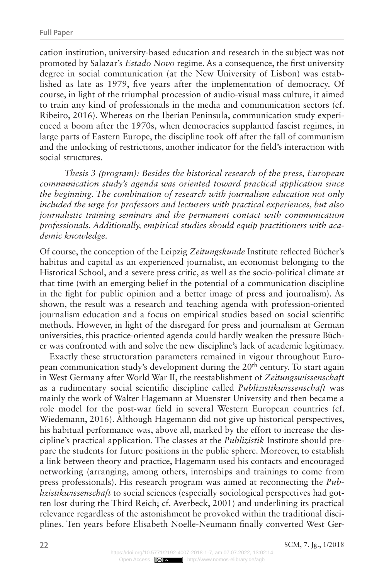cation institution, university-based education and research in the subject was not promoted by Salazar's *Estado Novo* regime. As a consequence, the first university degree in social communication (at the New University of Lisbon) was established as late as 1979, five years after the implementation of democracy. Of course, in light of the triumphal procession of audio-visual mass culture, it aimed to train any kind of professionals in the media and communication sectors (cf. Ribeiro, 2016). Whereas on the Iberian Peninsula, communication study experienced a boom after the 1970s, when democracies supplanted fascist regimes, in large parts of Eastern Europe, the discipline took off after the fall of communism and the unlocking of restrictions, another indicator for the field's interaction with social structures.

*Thesis 3 (program): Besides the historical research of the press, European communication study's agenda was oriented toward practical application since the beginning. The combination of research with journalism education not only included the urge for professors and lecturers with practical experiences, but also journalistic training seminars and the permanent contact with communication professionals. Additionally, empirical studies should equip practitioners with academic knowledge.*

Of course, the conception of the Leipzig *Zeitungskunde* Institute reflected Bücher's habitus and capital as an experienced journalist, an economist belonging to the Historical School, and a severe press critic, as well as the socio-political climate at that time (with an emerging belief in the potential of a communication discipline in the fight for public opinion and a better image of press and journalism). As shown, the result was a research and teaching agenda with profession-oriented journalism education and a focus on empirical studies based on social scientific methods. However, in light of the disregard for press and journalism at German universities, this practice-oriented agenda could hardly weaken the pressure Bücher was confronted with and solve the new discipline's lack of academic legitimacy.

Exactly these structuration parameters remained in vigour throughout European communication study's development during the 20<sup>th</sup> century. To start again in West Germany after World War II, the reestablishment of *Zeitungswissenschaft* as a rudimentary social scientific discipline called *Publizistikwissenschaft* was mainly the work of Walter Hagemann at Muenster University and then became a role model for the post-war field in several Western European countries (cf. Wiedemann, 2016). Although Hagemann did not give up historical perspectives, his habitual performance was, above all, marked by the effort to increase the discipline's practical application. The classes at the *Publizistik* Institute should prepare the students for future positions in the public sphere. Moreover, to establish a link between theory and practice, Hagemann used his contacts and encouraged networking (arranging, among others, internships and trainings to come from press professionals). His research program was aimed at reconnecting the *Publizistikwissenschaft* to social sciences (especially sociological perspectives had gotten lost during the Third Reich; cf. Averbeck, 2001) and underlining its practical relevance regardless of the astonishment he provoked within the traditional disciplines. Ten years before Elisabeth Noelle-Neumann finally converted West Ger-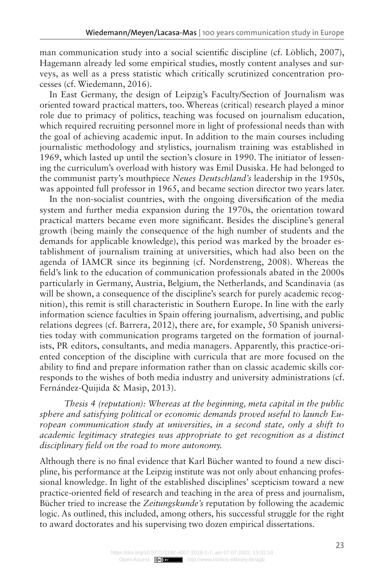man communication study into a social scientific discipline (cf. Löblich, 2007), Hagemann already led some empirical studies, mostly content analyses and surveys, as well as a press statistic which critically scrutinized concentration processes (cf. Wiedemann, 2016).

In East Germany, the design of Leipzig's Faculty/Section of Journalism was oriented toward practical matters, too. Whereas (critical) research played a minor role due to primacy of politics, teaching was focused on journalism education, which required recruiting personnel more in light of professional needs than with the goal of achieving academic input. In addition to the main courses including journalistic methodology and stylistics, journalism training was established in 1969, which lasted up until the section's closure in 1990. The initiator of lessening the curriculum's overload with history was Emil Dusiska. He had belonged to the communist party's mouthpiece *Neues Deutschland's* leadership in the 1950s, was appointed full professor in 1965, and became section director two years later.

In the non-socialist countries, with the ongoing diversification of the media system and further media expansion during the 1970s, the orientation toward practical matters became even more significant. Besides the discipline's general growth (being mainly the consequence of the high number of students and the demands for applicable knowledge), this period was marked by the broader establishment of journalism training at universities, which had also been on the agenda of IAMCR since its beginning (cf. Nordenstreng, 2008). Whereas the field's link to the education of communication professionals abated in the 2000s particularly in Germany, Austria, Belgium, the Netherlands, and Scandinavia (as will be shown, a consequence of the discipline's search for purely academic recognition), this remit is still characteristic in Southern Europe. In line with the early information science faculties in Spain offering journalism, advertising, and public relations degrees (cf. Barrera, 2012), there are, for example, 50 Spanish universities today with communication programs targeted on the formation of journalists, PR editors, consultants, and media managers. Apparently, this practice-oriented conception of the discipline with curricula that are more focused on the ability to find and prepare information rather than on classic academic skills corresponds to the wishes of both media industry and university administrations (cf. Fernández-Quijida & Masip, 2013).

*Thesis 4 (reputation): Whereas at the beginning, meta capital in the public sphere and satisfying political or economic demands proved useful to launch European communication study at universities, in a second state, only a shift to academic legitimacy strategies was appropriate to get recognition as a distinct disciplinary field on the road to more autonomy.*

Although there is no final evidence that Karl Bücher wanted to found a new discipline, his performance at the Leipzig institute was not only about enhancing professional knowledge. In light of the established disciplines' scepticism toward a new practice-oriented field of research and teaching in the area of press and journalism, Bücher tried to increase the *Zeitungskunde's* reputation by following the academic logic. As outlined, this included, among others, his successful struggle for the right to award doctorates and his supervising two dozen empirical dissertations.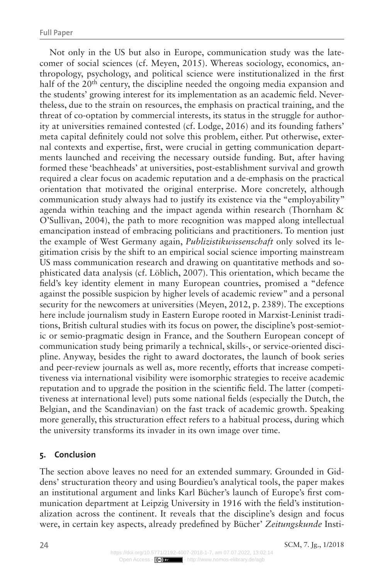Not only in the US but also in Europe, communication study was the latecomer of social sciences (cf. Meyen, 2015). Whereas sociology, economics, anthropology, psychology, and political science were institutionalized in the first half of the 20<sup>th</sup> century, the discipline needed the ongoing media expansion and the students' growing interest for its implementation as an academic field. Nevertheless, due to the strain on resources, the emphasis on practical training, and the threat of co-optation by commercial interests, its status in the struggle for authority at universities remained contested (cf. Lodge, 2016) and its founding fathers' meta capital definitely could not solve this problem, either. Put otherwise, external contexts and expertise, first, were crucial in getting communication departments launched and receiving the necessary outside funding. But, after having formed these 'beachheads' at universities, post-establishment survival and growth required a clear focus on academic reputation and a de-emphasis on the practical orientation that motivated the original enterprise. More concretely, although communication study always had to justify its existence via the "employability" agenda within teaching and the impact agenda within research (Thornham & O'Sullivan, 2004), the path to more recognition was mapped along intellectual emancipation instead of embracing politicians and practitioners. To mention just the example of West Germany again, *Publizistikwissenschaft* only solved its legitimation crisis by the shift to an empirical social science importing mainstream US mass communication research and drawing on quantitative methods and sophisticated data analysis (cf. Löblich, 2007). This orientation, which became the field's key identity element in many European countries, promised a "defence against the possible suspicion by higher levels of academic review" and a personal security for the newcomers at universities (Meyen, 2012, p. 2389). The exceptions here include journalism study in Eastern Europe rooted in Marxist-Leninist traditions, British cultural studies with its focus on power, the discipline's post-semiotic or semio-pragmatic design in France, and the Southern European concept of communication study being primarily a technical, skills-, or service-oriented discipline. Anyway, besides the right to award doctorates, the launch of book series and peer-review journals as well as, more recently, efforts that increase competitiveness via international visibility were isomorphic strategies to receive academic reputation and to upgrade the position in the scientific field. The latter (competitiveness at international level) puts some national fields (especially the Dutch, the Belgian, and the Scandinavian) on the fast track of academic growth. Speaking more generally, this structuration effect refers to a habitual process, during which the university transforms its invader in its own image over time.

#### **5. Conclusion**

The section above leaves no need for an extended summary. Grounded in Giddens' structuration theory and using Bourdieu's analytical tools, the paper makes an institutional argument and links Karl Bücher's launch of Europe's first communication department at Leipzig University in 1916 with the field's institutionalization across the continent. It reveals that the discipline's design and focus were, in certain key aspects, already predefined by Bücher' *Zeitungskunde* Insti-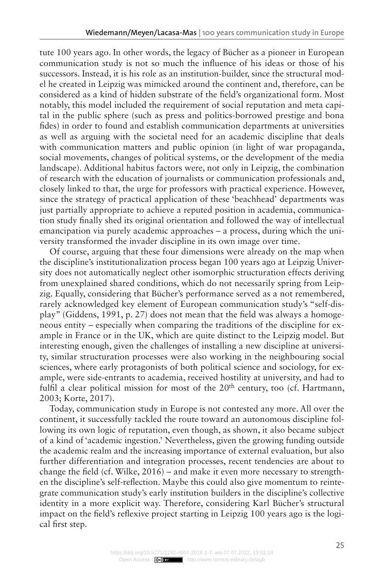tute 100 years ago. In other words, the legacy of Bücher as a pioneer in European communication study is not so much the influence of his ideas or those of his successors. Instead, it is his role as an institution-builder, since the structural model he created in Leipzig was mimicked around the continent and, therefore, can be considered as a kind of hidden substrate of the field's organizational form. Most notably, this model included the requirement of social reputation and meta capital in the public sphere (such as press and politics-borrowed prestige and bona fides) in order to found and establish communication departments at universities as well as arguing with the societal need for an academic discipline that deals with communication matters and public opinion (in light of war propaganda, social movements, changes of political systems, or the development of the media landscape). Additional habitus factors were, not only in Leipzig, the combination of research with the education of journalists or communication professionals and, closely linked to that, the urge for professors with practical experience. However, since the strategy of practical application of these 'beachhead' departments was just partially appropriate to achieve a reputed position in academia, communication study finally shed its original orientation and followed the way of intellectual emancipation via purely academic approaches – a process, during which the university transformed the invader discipline in its own image over time.

Of course, arguing that these four dimensions were already on the map when the discipline's institutionalization process began 100 years ago at Leipzig University does not automatically neglect other isomorphic structuration effects deriving from unexplained shared conditions, which do not necessarily spring from Leipzig. Equally, considering that Bücher's performance served as a not remembered, rarely acknowledged key element of European communication study's "self-display" (Giddens, 1991, p. 27) does not mean that the field was always a homogeneous entity – especially when comparing the traditions of the discipline for example in France or in the UK, which are quite distinct to the Leipzig model. But interesting enough, given the challenges of installing a new discipline at university, similar structuration processes were also working in the neighbouring social sciences, where early protagonists of both political science and sociology, for example, were side-entrants to academia, received hostility at university, and had to fulfil a clear political mission for most of the  $20<sup>th</sup>$  century, too (cf. Hartmann, 2003; Korte, 2017).

Today, communication study in Europe is not contested any more. All over the continent, it successfully tackled the route toward an autonomous discipline following its own logic of reputation, even though, as shown, it also became subject of a kind of 'academic ingestion.' Nevertheless, given the growing funding outside the academic realm and the increasing importance of external evaluation, but also further differentiation and integration processes, recent tendencies are about to change the field (cf. Wilke,  $2016$ ) – and make it even more necessary to strengthen the discipline's self-reflection. Maybe this could also give momentum to reintegrate communication study's early institution builders in the discipline's collective identity in a more explicit way. Therefore, considering Karl Bücher's structural impact on the field's reflexive project starting in Leipzig 100 years ago is the logical first step.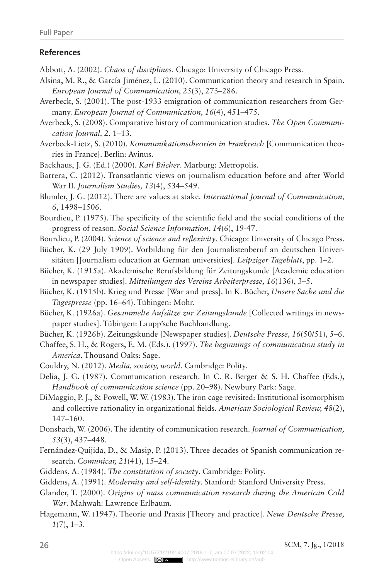#### **References**

- Abbott, A. (2002). *Chaos of disciplines*. Chicago: University of Chicago Press.
- Alsina, M. R., & García Jiménez, L. (2010). Communication theory and research in Spain. *European Journal of Communication*, *25*(3), 273–286.
- Averbeck, S. (2001). The post-1933 emigration of communication researchers from Germany. *European Journal of Communication, 16*(4), 451–475.
- Averbeck, S. (2008). Comparative history of communication studies. *The Open Communication Journal, 2*, 1–13.
- Averbeck-Lietz, S. (2010). *Kommunikationstheorien in Frankreich* [Communication theories in France]. Berlin: Avinus.
- Backhaus, J. G. (Ed.) (2000). *Karl Bücher*. Marburg: Metropolis.
- Barrera, C. (2012). Transatlantic views on journalism education before and after World War II. *Journalism Studies, 13*(4), 534–549.
- Blumler, J. G. (2012). There are values at stake. *International Journal of Communication, 6*, 1498–1506.
- Bourdieu, P. (1975). The specificity of the scientific field and the social conditions of the progress of reason. *Social Science Information*, *14*(6), 19-47.
- Bourdieu, P. (2004). *Science of science and reflexivity*. Chicago: University of Chicago Press.
- Bücher, K. (29 July 1909). Vorbildung für den Journalistenberuf an deutschen Universitäten [Journalism education at German universities]. *Leipziger Tageblatt*, pp. 1–2.
- Bücher, K. (1915a). Akademische Berufsbildung für Zeitungskunde [Academic education in newspaper studies]. *Mitteilungen des Vereins Arbeiterpresse, 16*(136), 3–5.
- Bücher, K. (1915b). Krieg und Presse [War and press]. In K. Bücher, *Unsere Sache und die Tagespresse* (pp. 16–64). Tübingen: Mohr.
- Bücher, K. (1926a). *Gesammelte Aufsätze zur Zeitungskunde* [Collected writings in newspaper studies]. Tübingen: Laupp'sche Buchhandlung.
- Bücher, K. (1926b). Zeitungskunde [Newspaper studies]. *Deutsche Presse, 16*(50/51), 5–6.
- Chaffee, S. H., & Rogers, E. M. (Eds.). (1997). *The beginnings of communication study in America*. Thousand Oaks: Sage.
- Couldry, N. (2012). *Media, society, world*. Cambridge: Polity.
- Delia, J. G. (1987). Communication research. In C. R. Berger & S. H. Chaffee (Eds.), *Handbook of communication science* (pp. 20–98). Newbury Park: Sage.
- DiMaggio, P. J., & Powell, W. W. (1983). The iron cage revisited: Institutional isomorphism and collective rationality in organizational fields. *American Sociological Review, 48*(2), 147–160.
- Donsbach, W. (2006). The identity of communication research. *Journal of Communication, 53*(3), 437–448.
- Fernández-Quijida, D., & Masip, P. (2013). Three decades of Spanish communication research. *Comunicar, 21*(41), 15–24.
- Giddens, A. (1984). *The constitution of society*. Cambridge: Polity.
- Giddens, A. (1991). *Modernity and self-identity*. Stanford: Stanford University Press.
- Glander, T. (2000). *Origins of mass communication research during the American Cold War*. Mahwah: Lawrence Erlbaum.
- Hagemann, W. (1947). Theorie und Praxis [Theory and practice]. *Neue Deutsche Presse, 1*(7), 1–3.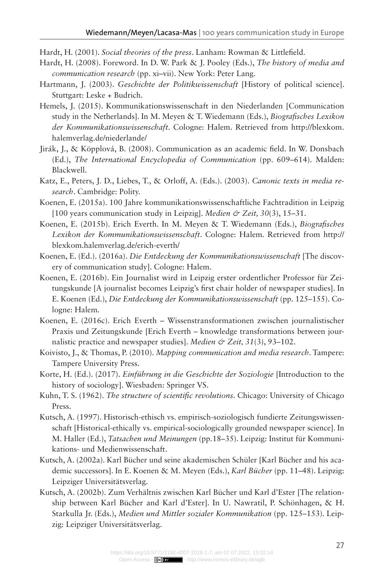Hardt, H. (2001). *Social theories of the press*. Lanham: Rowman & Littlefield.

- Hardt, H. (2008). Foreword. In D. W. Park & J. Pooley (Eds.), *The history of media and communication research* (pp. xi–vii). New York: Peter Lang.
- Hartmann, J. (2003). *Geschichte der Politikwissenschaft* [History of political science]. Stuttgart: Leske + Budrich.
- Hemels, J. (2015). Kommunikationswissenschaft in den Niederlanden [Communication study in the Netherlands]. In M. Meyen & T. Wiedemann (Eds.), *Biografisches Lexikon der Kommunikationswissenschaft*. Cologne: Halem. Retrieved from http://blexkom. halemverlag.de/niederlande/
- Jirák, J., & Köpplová, B. (2008). Communication as an academic field. In W. Donsbach (Ed.), *The International Encyclopedia of Communication* (pp. 609–614). Malden: Blackwell.
- Katz, E., Peters, J. D., Liebes, T., & Orloff, A. (Eds.). (2003). *Canonic texts in media research*. Cambridge: Polity.
- Koenen, E. (2015a). 100 Jahre kommunikationswissenschaftliche Fachtradition in Leipzig [100 years communication study in Leipzig]. *Medien & Zeit, 30*(3), 15–31.
- Koenen, E. (2015b). Erich Everth. In M. Meyen & T. Wiedemann (Eds.), *Biografisches Lexikon der Kommunikationswissenschaft*. Cologne: Halem. Retrieved from http:// blexkom.halemverlag.de/erich-everth/
- Koenen, E. (Ed.). (2016a). *Die Entdeckung der Kommunikationswissenschaft* [The discovery of communication study]. Cologne: Halem.
- Koenen, E. (2016b). Ein Journalist wird in Leipzig erster ordentlicher Professor für Zeitungskunde [A journalist becomes Leipzig's first chair holder of newspaper studies]. In E. Koenen (Ed.), *Die Entdeckung der Kommunikationswissenschaft* (pp. 125–155). Cologne: Halem.
- Koenen, E. (2016c). Erich Everth Wissenstransformationen zwischen journalistischer Praxis und Zeitungskunde [Erich Everth – knowledge transformations between journalistic practice and newspaper studies]. *Medien & Zeit, 31*(3), 93–102.
- Koivisto, J., & Thomas, P. (2010). *Mapping communication and media research*. Tampere: Tampere University Press.
- Korte, H. (Ed.). (2017). *Einführung in die Geschichte der Soziologie* [Introduction to the history of sociology]. Wiesbaden: Springer VS.
- Kuhn, T. S. (1962). *The structure of scientific revolutions*. Chicago: University of Chicago Press.
- Kutsch, A. (1997). Historisch-ethisch vs. empirisch-soziologisch fundierte Zeitungswissenschaft [Historical-ethically vs. empirical-sociologically grounded newspaper science]. In M. Haller (Ed.), *Tatsachen und Meinungen* (pp.18–35). Leipzig: Institut für Kommunikations- und Medienwissenschaft.
- Kutsch, A. (2002a). Karl Bücher und seine akademischen Schüler [Karl Bücher and his academic successors]. In E. Koenen & M. Meyen (Eds.), *Karl Bücher* (pp. 11–48). Leipzig: Leipziger Universitätsverlag.
- Kutsch, A. (2002b). Zum Verhältnis zwischen Karl Bücher und Karl d'Ester [The relationship between Karl Bücher and Karl d'Ester]. In U. Nawratil, P. Schönhagen, & H. Starkulla Jr. (Eds.), *Medien und Mittler sozialer Kommunikation* (pp. 125–153). Leipzig: Leipziger Universitätsverlag.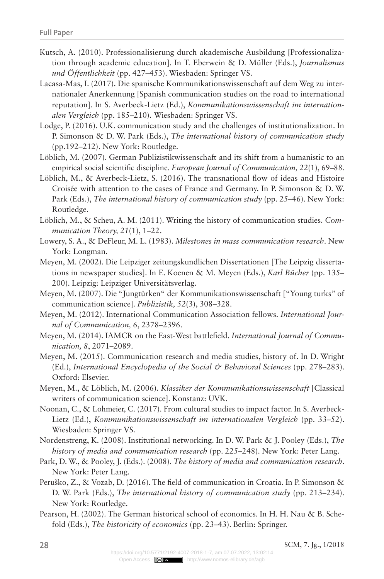- Kutsch, A. (2010). Professionalisierung durch akademische Ausbildung [Professionalization through academic education]. In T. Eberwein & D. Müller (Eds.), *Journalismus und Öffentlichkeit* (pp. 427–453). Wiesbaden: Springer VS.
- Lacasa-Mas, I. (2017). Die spanische Kommunikationswissenschaft auf dem Weg zu internationaler Anerkennung [Spanish communication studies on the road to international reputation]. In S. Averbeck-Lietz (Ed.), *Kommunikationswissenschaft im internationalen Vergleich* (pp. 185–210). Wiesbaden: Springer VS.
- Lodge, P. (2016). U.K. communication study and the challenges of institutionalization. In P. Simonson & D. W. Park (Eds.), *The international history of communication study* (pp.192–212). New York: Routledge.
- Löblich, M. (2007). German Publizistikwissenschaft and its shift from a humanistic to an empirical social scientific discipline. *European Journal of Communication, 22*(1), 69–88.
- Löblich, M., & Averbeck-Lietz, S. (2016). The transnational flow of ideas and Histoire Croisée with attention to the cases of France and Germany. In P. Simonson & D. W. Park (Eds.), *The international history of communication study* (pp. 25–46). New York: Routledge.
- Löblich, M., & Scheu, A. M. (2011). Writing the history of communication studies. *Communication Theory, 21*(1), 1–22.
- Lowery, S. A., & DeFleur, M. L. (1983). *Milestones in mass communication research*. New York: Longman.
- Meyen, M. (2002). Die Leipziger zeitungskundlichen Dissertationen [The Leipzig dissertations in newspaper studies]. In E. Koenen & M. Meyen (Eds.), *Karl Bücher* (pp. 135– 200). Leipzig: Leipziger Universitätsverlag.
- Meyen, M. (2007). Die "Jungtürken" der Kommunikationswissenschaft ["Young turks" of communication science]. *Publizistik, 52*(3), 308–328.
- Meyen, M. (2012). International Communication Association fellows. *International Journal of Communication, 6*, 2378–2396.
- Meyen, M. (2014). IAMCR on the East-West battlefield. *International Journal of Communication, 8*, 2071–2089.
- Meyen, M. (2015). Communication research and media studies, history of. In D. Wright (Ed.), *International Encyclopedia of the Social & Behavioral Sciences* (pp. 278–283). Oxford: Elsevier.
- Meyen, M., & Löblich, M. (2006). *Klassiker der Kommunikationswissenschaft* [Classical writers of communication science]. Konstanz: UVK.
- Noonan, C., & Lohmeier, C. (2017). From cultural studies to impact factor. In S. Averbeck-Lietz (Ed.), *Kommunikationswissenschaft im internationalen Vergleich* (pp. 33–52). Wiesbaden: Springer VS.
- Nordenstreng, K. (2008). Institutional networking. In D. W. Park & J. Pooley (Eds.), *The history of media and communication research* (pp. 225–248). New York: Peter Lang.
- Park, D. W., & Pooley, J. (Eds.). (2008). *The history of media and communication research*. New York: Peter Lang.
- Peruško, Z., & Vozab, D. (2016). The field of communication in Croatia. In P. Simonson & D. W. Park (Eds.), *The international history of communication study* (pp. 213–234). New York: Routledge.
- Pearson, H. (2002). The German historical school of economics. In H. H. Nau & B. Schefold (Eds.), *The historicity of economics* (pp. 23–43). Berlin: Springer.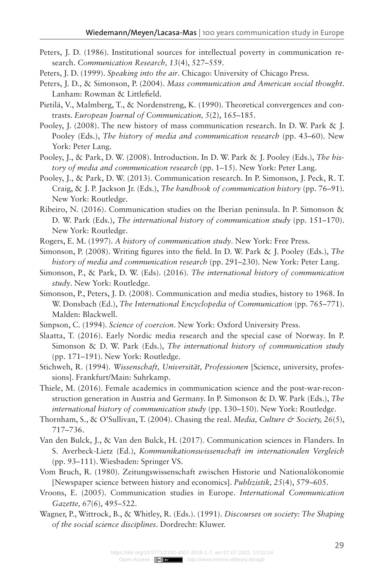- Peters, J. D. (1986). Institutional sources for intellectual poverty in communication research. *Communication Research, 13*(4), 527–559.
- Peters, J. D. (1999). *Speaking into the air*. Chicago: University of Chicago Press.
- Peters, J. D., & Simonson, P. (2004). *Mass communication and American social thought*. Lanham: Rowman & Littlefield.
- Pietilä, V., Malmberg, T., & Nordenstreng, K. (1990). Theoretical convergences and contrasts. *European Journal of Communication, 5*(2), 165–185.
- Pooley, J. (2008). The new history of mass communication research. In D. W. Park & J. Pooley (Eds.), *The history of media and communication research* (pp. 43–60). New York: Peter Lang.
- Pooley, J., & Park, D. W. (2008). Introduction. In D. W. Park & J. Pooley (Eds.), *The history of media and communication research* (pp. 1–15). New York: Peter Lang.
- Pooley, J., & Park, D. W. (2013). Communication research. In P. Simonson, J. Peck, R. T. Craig, & J. P. Jackson Jr. (Eds.), *The handbook of communication history* (pp. 76–91). New York: Routledge.
- Ribeiro, N. (2016). Communication studies on the Iberian peninsula. In P. Simonson & D. W. Park (Eds.), *The international history of communication study* (pp. 151–170). New York: Routledge.
- Rogers, E. M. (1997). *A history of communication study*. New York: Free Press.
- Simonson, P. (2008). Writing figures into the field. In D. W. Park & J. Pooley (Eds.), *The history of media and communication research* (pp. 291–230). New York: Peter Lang.
- Simonson, P., & Park, D. W. (Eds). (2016). *The international history of communication study*. New York: Routledge.
- Simonson, P., Peters, J. D. (2008). Communication and media studies, history to 1968. In W. Donsbach (Ed.), *The International Encyclopedia of Communication* (pp. 765–771). Malden: Blackwell.
- Simpson, C. (1994). *Science of coercion*. New York: Oxford University Press.
- Slaatta, T. (2016). Early Nordic media research and the special case of Norway. In P. Simonson & D. W. Park (Eds.), *The international history of communication study*  (pp. 171–191). New York: Routledge.
- Stichweh, R. (1994). *Wissenschaft, Universität, Professionen* [Science, university, professions]. Frankfurt/Main: Suhrkamp.
- Thiele, M. (2016). Female academics in communication science and the post-war-reconstruction generation in Austria and Germany. In P. Simonson & D. W. Park (Eds.), *The international history of communication study* (pp. 130–150). New York: Routledge.
- Thornham, S., & O'Sullivan, T. (2004). Chasing the real. *Media, Culture & Society, 26*(5), 717–736.
- Van den Bulck, J., & Van den Bulck, H. (2017). Communication sciences in Flanders. In S. Averbeck-Lietz (Ed.), *Kommunikationswissenschaft im internationalen Vergleich* (pp. 93–111). Wiesbaden: Springer VS.
- Vom Bruch, R. (1980). Zeitungswissenschaft zwischen Historie und Nationalökonomie [Newspaper science between history and economics]. *Publizistik, 25*(4), 579–605.
- Vroons, E. (2005). Communication studies in Europe. *International Communication Gazette, 67*(6), 495–522.
- Wagner, P., Wittrock, B., & Whitley, R. (Eds.). (1991). *Discourses on society: The Shaping of the social science disciplines*. Dordrecht: Kluwer.